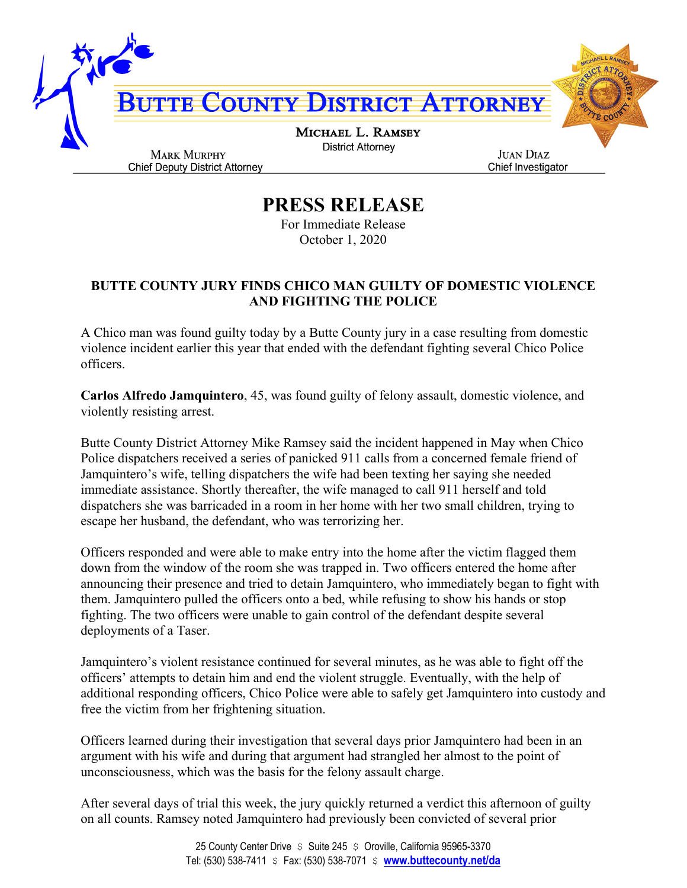

**PRESS RELEASE**

For Immediate Release October 1, 2020

## **BUTTE COUNTY JURY FINDS CHICO MAN GUILTY OF DOMESTIC VIOLENCE AND FIGHTING THE POLICE**

A Chico man was found guilty today by a Butte County jury in a case resulting from domestic violence incident earlier this year that ended with the defendant fighting several Chico Police officers.

**Carlos Alfredo Jamquintero**, 45, was found guilty of felony assault, domestic violence, and violently resisting arrest.

Butte County District Attorney Mike Ramsey said the incident happened in May when Chico Police dispatchers received a series of panicked 911 calls from a concerned female friend of Jamquintero's wife, telling dispatchers the wife had been texting her saying she needed immediate assistance. Shortly thereafter, the wife managed to call 911 herself and told dispatchers she was barricaded in a room in her home with her two small children, trying to escape her husband, the defendant, who was terrorizing her.

Officers responded and were able to make entry into the home after the victim flagged them down from the window of the room she was trapped in. Two officers entered the home after announcing their presence and tried to detain Jamquintero, who immediately began to fight with them. Jamquintero pulled the officers onto a bed, while refusing to show his hands or stop fighting. The two officers were unable to gain control of the defendant despite several deployments of a Taser.

Jamquintero's violent resistance continued for several minutes, as he was able to fight off the officers' attempts to detain him and end the violent struggle. Eventually, with the help of additional responding officers, Chico Police were able to safely get Jamquintero into custody and free the victim from her frightening situation.

Officers learned during their investigation that several days prior Jamquintero had been in an argument with his wife and during that argument had strangled her almost to the point of unconsciousness, which was the basis for the felony assault charge.

After several days of trial this week, the jury quickly returned a verdict this afternoon of guilty on all counts. Ramsey noted Jamquintero had previously been convicted of several prior